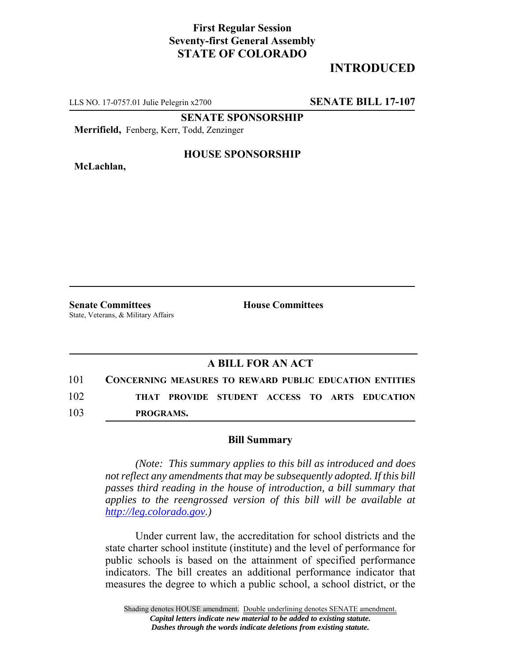## **First Regular Session Seventy-first General Assembly STATE OF COLORADO**

# **INTRODUCED**

LLS NO. 17-0757.01 Julie Pelegrin x2700 **SENATE BILL 17-107**

**SENATE SPONSORSHIP**

**Merrifield,** Fenberg, Kerr, Todd, Zenzinger

**McLachlan,**

#### **HOUSE SPONSORSHIP**

**Senate Committees House Committees** State, Veterans, & Military Affairs

### **A BILL FOR AN ACT**

101 **CONCERNING MEASURES TO REWARD PUBLIC EDUCATION ENTITIES** 102 **THAT PROVIDE STUDENT ACCESS TO ARTS EDUCATION** 103 **PROGRAMS.**

#### **Bill Summary**

*(Note: This summary applies to this bill as introduced and does not reflect any amendments that may be subsequently adopted. If this bill passes third reading in the house of introduction, a bill summary that applies to the reengrossed version of this bill will be available at http://leg.colorado.gov.)*

Under current law, the accreditation for school districts and the state charter school institute (institute) and the level of performance for public schools is based on the attainment of specified performance indicators. The bill creates an additional performance indicator that measures the degree to which a public school, a school district, or the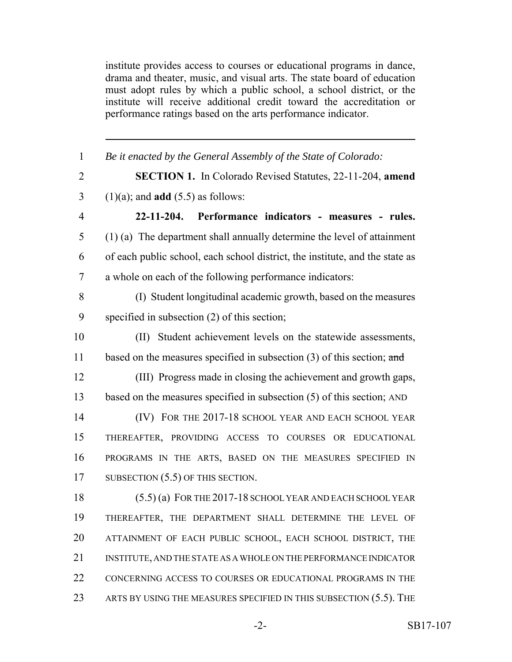institute provides access to courses or educational programs in dance, drama and theater, music, and visual arts. The state board of education must adopt rules by which a public school, a school district, or the institute will receive additional credit toward the accreditation or performance ratings based on the arts performance indicator.

| $\mathbf{1}$   | Be it enacted by the General Assembly of the State of Colorado:              |
|----------------|------------------------------------------------------------------------------|
| $\overline{2}$ | <b>SECTION 1.</b> In Colorado Revised Statutes, 22-11-204, amend             |
| 3              | $(1)(a)$ ; and <b>add</b> $(5.5)$ as follows:                                |
| $\overline{4}$ | 22-11-204. Performance indicators - measures - rules.                        |
| 5              | $(1)$ (a) The department shall annually determine the level of attainment    |
| 6              | of each public school, each school district, the institute, and the state as |
| 7              | a whole on each of the following performance indicators:                     |
| 8              | (I) Student longitudinal academic growth, based on the measures              |
| 9              | specified in subsection $(2)$ of this section;                               |
| 10             | (II) Student achievement levels on the statewide assessments,                |
| 11             | based on the measures specified in subsection $(3)$ of this section; and     |
| 12             | (III) Progress made in closing the achievement and growth gaps,              |
| 13             | based on the measures specified in subsection $(5)$ of this section; AND     |
| 14             | (IV) FOR THE 2017-18 SCHOOL YEAR AND EACH SCHOOL YEAR                        |
| 15             | THEREAFTER, PROVIDING ACCESS TO COURSES OR EDUCATIONAL                       |
| 16             | PROGRAMS IN THE ARTS, BASED ON THE MEASURES SPECIFIED IN                     |
| 17             | SUBSECTION $(5.5)$ OF THIS SECTION.                                          |
| 18             | $(5.5)$ (a) FOR THE 2017-18 SCHOOL YEAR AND EACH SCHOOL YEAR                 |
| 19             | THEREAFTER, THE DEPARTMENT SHALL DETERMINE THE LEVEL OF                      |
| 20             | ATTAINMENT OF EACH PUBLIC SCHOOL, EACH SCHOOL DISTRICT, THE                  |
| 21             | INSTITUTE, AND THE STATE AS A WHOLE ON THE PERFORMANCE INDICATOR             |
| 22             | CONCERNING ACCESS TO COURSES OR EDUCATIONAL PROGRAMS IN THE                  |
| 23             | ARTS BY USING THE MEASURES SPECIFIED IN THIS SUBSECTION $(5.5)$ . The        |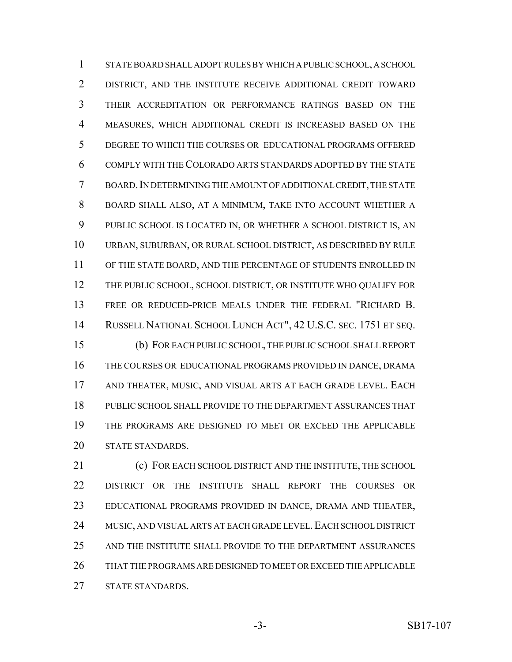STATE BOARD SHALL ADOPT RULES BY WHICH A PUBLIC SCHOOL, A SCHOOL DISTRICT, AND THE INSTITUTE RECEIVE ADDITIONAL CREDIT TOWARD THEIR ACCREDITATION OR PERFORMANCE RATINGS BASED ON THE MEASURES, WHICH ADDITIONAL CREDIT IS INCREASED BASED ON THE DEGREE TO WHICH THE COURSES OR EDUCATIONAL PROGRAMS OFFERED COMPLY WITH THE COLORADO ARTS STANDARDS ADOPTED BY THE STATE BOARD.IN DETERMINING THE AMOUNT OF ADDITIONAL CREDIT, THE STATE BOARD SHALL ALSO, AT A MINIMUM, TAKE INTO ACCOUNT WHETHER A PUBLIC SCHOOL IS LOCATED IN, OR WHETHER A SCHOOL DISTRICT IS, AN URBAN, SUBURBAN, OR RURAL SCHOOL DISTRICT, AS DESCRIBED BY RULE OF THE STATE BOARD, AND THE PERCENTAGE OF STUDENTS ENROLLED IN THE PUBLIC SCHOOL, SCHOOL DISTRICT, OR INSTITUTE WHO QUALIFY FOR FREE OR REDUCED-PRICE MEALS UNDER THE FEDERAL "RICHARD B. RUSSELL NATIONAL SCHOOL LUNCH ACT", 42 U.S.C. SEC. 1751 ET SEQ. (b) FOR EACH PUBLIC SCHOOL, THE PUBLIC SCHOOL SHALL REPORT THE COURSES OR EDUCATIONAL PROGRAMS PROVIDED IN DANCE, DRAMA AND THEATER, MUSIC, AND VISUAL ARTS AT EACH GRADE LEVEL. EACH PUBLIC SCHOOL SHALL PROVIDE TO THE DEPARTMENT ASSURANCES THAT THE PROGRAMS ARE DESIGNED TO MEET OR EXCEED THE APPLICABLE STATE STANDARDS.

 (c) FOR EACH SCHOOL DISTRICT AND THE INSTITUTE, THE SCHOOL DISTRICT OR THE INSTITUTE SHALL REPORT THE COURSES OR EDUCATIONAL PROGRAMS PROVIDED IN DANCE, DRAMA AND THEATER, 24 MUSIC, AND VISUAL ARTS AT EACH GRADE LEVEL. EACH SCHOOL DISTRICT AND THE INSTITUTE SHALL PROVIDE TO THE DEPARTMENT ASSURANCES THAT THE PROGRAMS ARE DESIGNED TO MEET OR EXCEED THE APPLICABLE STATE STANDARDS.